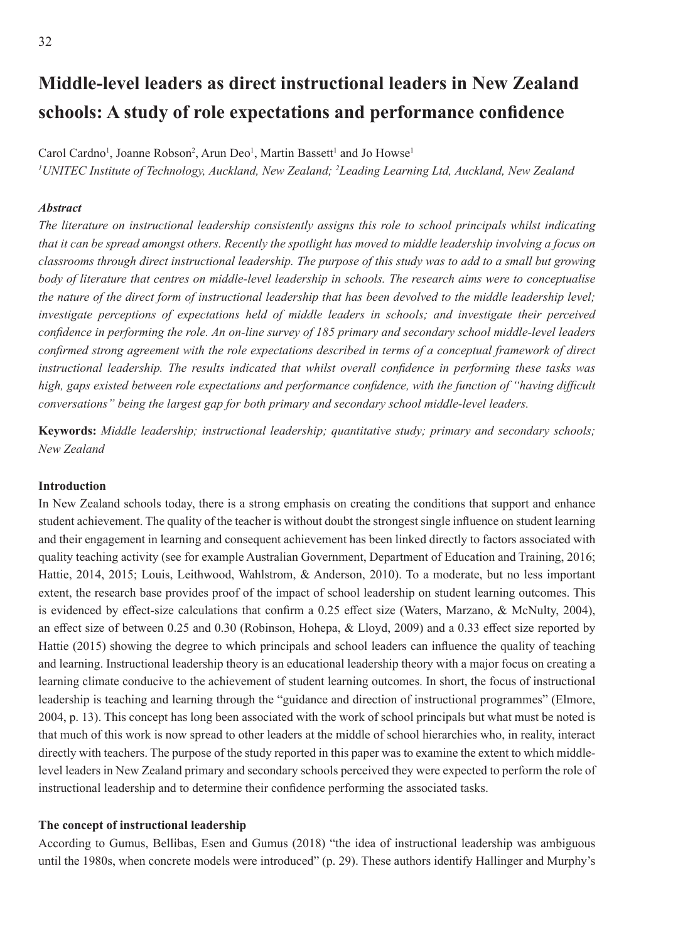# **Middle-level leaders as direct instructional leaders in New Zealand schools: A study of role expectations and performance confidence**

Carol Cardno<sup>1</sup>, Joanne Robson<sup>2</sup>, Arun Deo<sup>1</sup>, Martin Bassett<sup>1</sup> and Jo Howse<sup>1</sup> *1 UNITEC Institute of Technology, Auckland, New Zealand; <sup>2</sup> Leading Learning Ltd, Auckland, New Zealand*

## *Abstract*

*The literature on instructional leadership consistently assigns this role to school principals whilst indicating that it can be spread amongst others. Recently the spotlight has moved to middle leadership involving a focus on classrooms through direct instructional leadership. The purpose of this study was to add to a small but growing body of literature that centres on middle-level leadership in schools. The research aims were to conceptualise the nature of the direct form of instructional leadership that has been devolved to the middle leadership level; investigate perceptions of expectations held of middle leaders in schools; and investigate their perceived confidence in performing the role. An on-line survey of 185 primary and secondary school middle-level leaders confirmed strong agreement with the role expectations described in terms of a conceptual framework of direct instructional leadership. The results indicated that whilst overall confidence in performing these tasks was high, gaps existed between role expectations and performance confidence, with the function of "having difficult conversations" being the largest gap for both primary and secondary school middle-level leaders.* 

**Keywords:** *Middle leadership; instructional leadership; quantitative study; primary and secondary schools; New Zealand*

#### **Introduction**

In New Zealand schools today, there is a strong emphasis on creating the conditions that support and enhance student achievement. The quality of the teacher is without doubt the strongest single influence on student learning and their engagement in learning and consequent achievement has been linked directly to factors associated with quality teaching activity (see for example Australian Government, Department of Education and Training, 2016; Hattie, 2014, 2015; Louis, Leithwood, Wahlstrom, & Anderson, 2010). To a moderate, but no less important extent, the research base provides proof of the impact of school leadership on student learning outcomes. This is evidenced by effect-size calculations that confirm a 0.25 effect size (Waters, Marzano, & McNulty, 2004), an effect size of between 0.25 and 0.30 (Robinson, Hohepa, & Lloyd, 2009) and a 0.33 effect size reported by Hattie (2015) showing the degree to which principals and school leaders can influence the quality of teaching and learning. Instructional leadership theory is an educational leadership theory with a major focus on creating a learning climate conducive to the achievement of student learning outcomes. In short, the focus of instructional leadership is teaching and learning through the "guidance and direction of instructional programmes" (Elmore, 2004, p. 13). This concept has long been associated with the work of school principals but what must be noted is that much of this work is now spread to other leaders at the middle of school hierarchies who, in reality, interact directly with teachers. The purpose of the study reported in this paper was to examine the extent to which middlelevel leaders in New Zealand primary and secondary schools perceived they were expected to perform the role of instructional leadership and to determine their confidence performing the associated tasks.

#### **The concept of instructional leadership**

According to Gumus, Bellibas, Esen and Gumus (2018) "the idea of instructional leadership was ambiguous until the 1980s, when concrete models were introduced" (p. 29). These authors identify Hallinger and Murphy's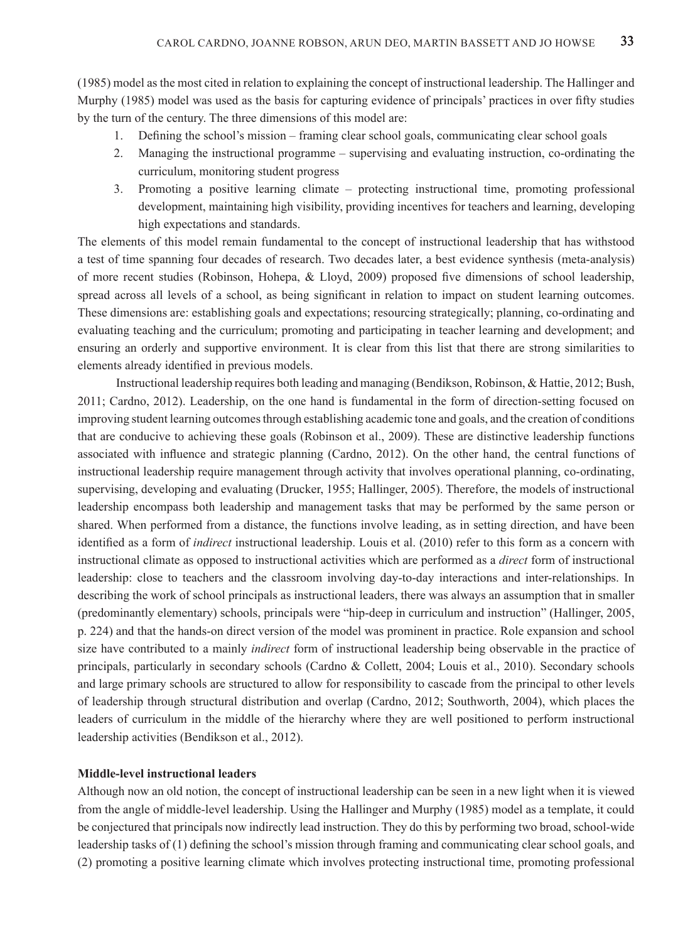(1985) model as the most cited in relation to explaining the concept of instructional leadership. The Hallinger and Murphy (1985) model was used as the basis for capturing evidence of principals' practices in over fifty studies by the turn of the century. The three dimensions of this model are:

- 1. Defining the school's mission framing clear school goals, communicating clear school goals
- 2. Managing the instructional programme supervising and evaluating instruction, co-ordinating the curriculum, monitoring student progress
- 3. Promoting a positive learning climate protecting instructional time, promoting professional development, maintaining high visibility, providing incentives for teachers and learning, developing high expectations and standards.

The elements of this model remain fundamental to the concept of instructional leadership that has withstood a test of time spanning four decades of research. Two decades later, a best evidence synthesis (meta-analysis) of more recent studies (Robinson, Hohepa, & Lloyd, 2009) proposed five dimensions of school leadership, spread across all levels of a school, as being significant in relation to impact on student learning outcomes. These dimensions are: establishing goals and expectations; resourcing strategically; planning, co-ordinating and evaluating teaching and the curriculum; promoting and participating in teacher learning and development; and ensuring an orderly and supportive environment. It is clear from this list that there are strong similarities to elements already identified in previous models.

Instructional leadership requires both leading and managing (Bendikson, Robinson, & Hattie, 2012; Bush, 2011; Cardno, 2012). Leadership, on the one hand is fundamental in the form of direction-setting focused on improving student learning outcomes through establishing academic tone and goals, and the creation of conditions that are conducive to achieving these goals (Robinson et al., 2009). These are distinctive leadership functions associated with influence and strategic planning (Cardno, 2012). On the other hand, the central functions of instructional leadership require management through activity that involves operational planning, co-ordinating, supervising, developing and evaluating (Drucker, 1955; Hallinger, 2005). Therefore, the models of instructional leadership encompass both leadership and management tasks that may be performed by the same person or shared. When performed from a distance, the functions involve leading, as in setting direction, and have been identified as a form of *indirect* instructional leadership. Louis et al. (2010) refer to this form as a concern with instructional climate as opposed to instructional activities which are performed as a *direct* form of instructional leadership: close to teachers and the classroom involving day-to-day interactions and inter-relationships. In describing the work of school principals as instructional leaders, there was always an assumption that in smaller (predominantly elementary) schools, principals were "hip-deep in curriculum and instruction" (Hallinger, 2005, p. 224) and that the hands-on direct version of the model was prominent in practice. Role expansion and school size have contributed to a mainly *indirect* form of instructional leadership being observable in the practice of principals, particularly in secondary schools (Cardno & Collett, 2004; Louis et al., 2010). Secondary schools and large primary schools are structured to allow for responsibility to cascade from the principal to other levels of leadership through structural distribution and overlap (Cardno, 2012; Southworth, 2004), which places the leaders of curriculum in the middle of the hierarchy where they are well positioned to perform instructional leadership activities (Bendikson et al., 2012).

# **Middle-level instructional leaders**

Although now an old notion, the concept of instructional leadership can be seen in a new light when it is viewed from the angle of middle-level leadership. Using the Hallinger and Murphy (1985) model as a template, it could be conjectured that principals now indirectly lead instruction. They do this by performing two broad, school-wide leadership tasks of (1) defining the school's mission through framing and communicating clear school goals, and (2) promoting a positive learning climate which involves protecting instructional time, promoting professional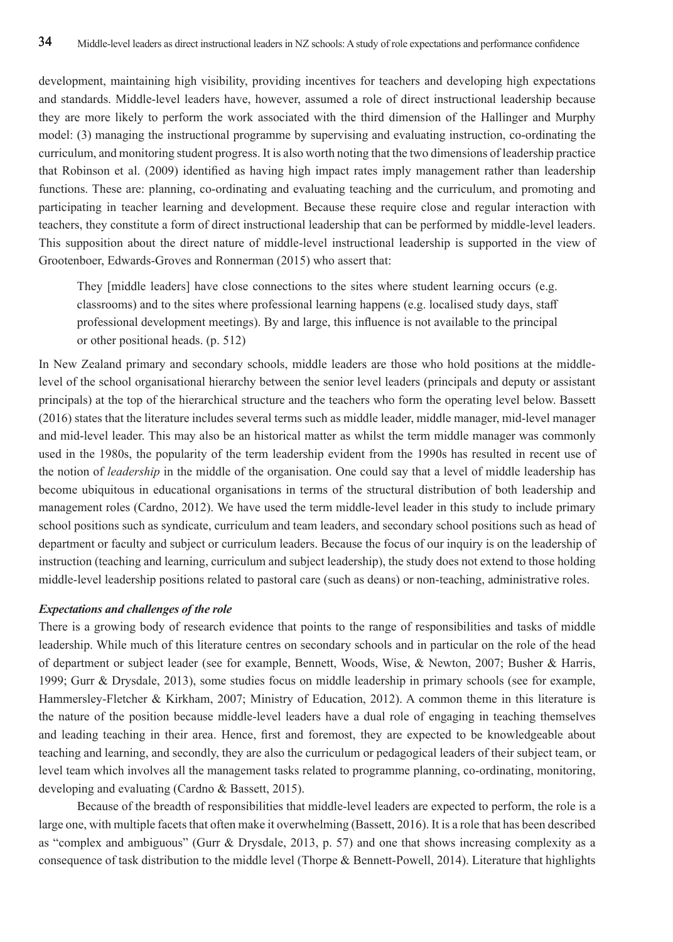development, maintaining high visibility, providing incentives for teachers and developing high expectations and standards. Middle-level leaders have, however, assumed a role of direct instructional leadership because they are more likely to perform the work associated with the third dimension of the Hallinger and Murphy model: (3) managing the instructional programme by supervising and evaluating instruction, co-ordinating the curriculum, and monitoring student progress. It is also worth noting that the two dimensions of leadership practice that Robinson et al. (2009) identified as having high impact rates imply management rather than leadership functions. These are: planning, co-ordinating and evaluating teaching and the curriculum, and promoting and participating in teacher learning and development. Because these require close and regular interaction with teachers, they constitute a form of direct instructional leadership that can be performed by middle-level leaders. This supposition about the direct nature of middle-level instructional leadership is supported in the view of Grootenboer, Edwards-Groves and Ronnerman (2015) who assert that:

They [middle leaders] have close connections to the sites where student learning occurs (e.g. classrooms) and to the sites where professional learning happens (e.g. localised study days, staff professional development meetings). By and large, this influence is not available to the principal or other positional heads. (p. 512)

In New Zealand primary and secondary schools, middle leaders are those who hold positions at the middlelevel of the school organisational hierarchy between the senior level leaders (principals and deputy or assistant principals) at the top of the hierarchical structure and the teachers who form the operating level below. Bassett (2016) states that the literature includes several terms such as middle leader, middle manager, mid-level manager and mid-level leader. This may also be an historical matter as whilst the term middle manager was commonly used in the 1980s, the popularity of the term leadership evident from the 1990s has resulted in recent use of the notion of *leadership* in the middle of the organisation. One could say that a level of middle leadership has become ubiquitous in educational organisations in terms of the structural distribution of both leadership and management roles (Cardno, 2012). We have used the term middle-level leader in this study to include primary school positions such as syndicate, curriculum and team leaders, and secondary school positions such as head of department or faculty and subject or curriculum leaders. Because the focus of our inquiry is on the leadership of instruction (teaching and learning, curriculum and subject leadership), the study does not extend to those holding middle-level leadership positions related to pastoral care (such as deans) or non-teaching, administrative roles.

#### *Expectations and challenges of the role*

There is a growing body of research evidence that points to the range of responsibilities and tasks of middle leadership. While much of this literature centres on secondary schools and in particular on the role of the head of department or subject leader (see for example, Bennett, Woods, Wise, & Newton, 2007; Busher & Harris, 1999; Gurr & Drysdale, 2013), some studies focus on middle leadership in primary schools (see for example, Hammersley-Fletcher & Kirkham, 2007; Ministry of Education, 2012). A common theme in this literature is the nature of the position because middle-level leaders have a dual role of engaging in teaching themselves and leading teaching in their area. Hence, first and foremost, they are expected to be knowledgeable about teaching and learning, and secondly, they are also the curriculum or pedagogical leaders of their subject team, or level team which involves all the management tasks related to programme planning, co-ordinating, monitoring, developing and evaluating (Cardno & Bassett, 2015).

Because of the breadth of responsibilities that middle-level leaders are expected to perform, the role is a large one, with multiple facets that often make it overwhelming (Bassett, 2016). It is a role that has been described as "complex and ambiguous" (Gurr & Drysdale, 2013, p. 57) and one that shows increasing complexity as a consequence of task distribution to the middle level (Thorpe & Bennett-Powell, 2014). Literature that highlights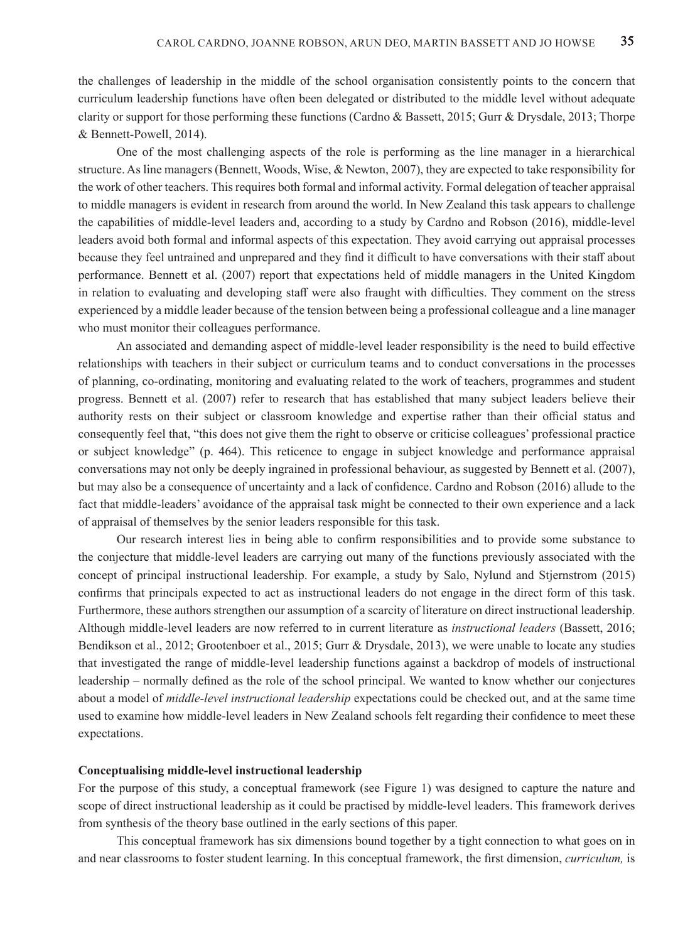the challenges of leadership in the middle of the school organisation consistently points to the concern that curriculum leadership functions have often been delegated or distributed to the middle level without adequate clarity or support for those performing these functions (Cardno & Bassett, 2015; Gurr & Drysdale, 2013; Thorpe & Bennett-Powell, 2014).

One of the most challenging aspects of the role is performing as the line manager in a hierarchical structure. As line managers (Bennett, Woods, Wise, & Newton, 2007), they are expected to take responsibility for the work of other teachers. This requires both formal and informal activity. Formal delegation of teacher appraisal to middle managers is evident in research from around the world. In New Zealand this task appears to challenge the capabilities of middle-level leaders and, according to a study by Cardno and Robson (2016), middle-level leaders avoid both formal and informal aspects of this expectation. They avoid carrying out appraisal processes because they feel untrained and unprepared and they find it difficult to have conversations with their staff about performance. Bennett et al. (2007) report that expectations held of middle managers in the United Kingdom in relation to evaluating and developing staff were also fraught with difficulties. They comment on the stress experienced by a middle leader because of the tension between being a professional colleague and a line manager who must monitor their colleagues performance.

An associated and demanding aspect of middle-level leader responsibility is the need to build effective relationships with teachers in their subject or curriculum teams and to conduct conversations in the processes of planning, co-ordinating, monitoring and evaluating related to the work of teachers, programmes and student progress. Bennett et al. (2007) refer to research that has established that many subject leaders believe their authority rests on their subject or classroom knowledge and expertise rather than their official status and consequently feel that, "this does not give them the right to observe or criticise colleagues' professional practice or subject knowledge" (p. 464). This reticence to engage in subject knowledge and performance appraisal conversations may not only be deeply ingrained in professional behaviour, as suggested by Bennett et al. (2007), but may also be a consequence of uncertainty and a lack of confidence. Cardno and Robson (2016) allude to the fact that middle-leaders' avoidance of the appraisal task might be connected to their own experience and a lack of appraisal of themselves by the senior leaders responsible for this task.

Our research interest lies in being able to confirm responsibilities and to provide some substance to the conjecture that middle-level leaders are carrying out many of the functions previously associated with the concept of principal instructional leadership. For example, a study by Salo, Nylund and Stjernstrom (2015) confirms that principals expected to act as instructional leaders do not engage in the direct form of this task. Furthermore, these authors strengthen our assumption of a scarcity of literature on direct instructional leadership. Although middle-level leaders are now referred to in current literature as *instructional leaders* (Bassett, 2016; Bendikson et al., 2012; Grootenboer et al., 2015; Gurr & Drysdale, 2013), we were unable to locate any studies that investigated the range of middle-level leadership functions against a backdrop of models of instructional leadership – normally defined as the role of the school principal. We wanted to know whether our conjectures about a model of *middle-level instructional leadership* expectations could be checked out, and at the same time used to examine how middle-level leaders in New Zealand schools felt regarding their confidence to meet these expectations.

#### **Conceptualising middle-level instructional leadership**

For the purpose of this study, a conceptual framework (see Figure 1) was designed to capture the nature and scope of direct instructional leadership as it could be practised by middle-level leaders. This framework derives from synthesis of the theory base outlined in the early sections of this paper.

This conceptual framework has six dimensions bound together by a tight connection to what goes on in and near classrooms to foster student learning. In this conceptual framework, the first dimension, *curriculum,* is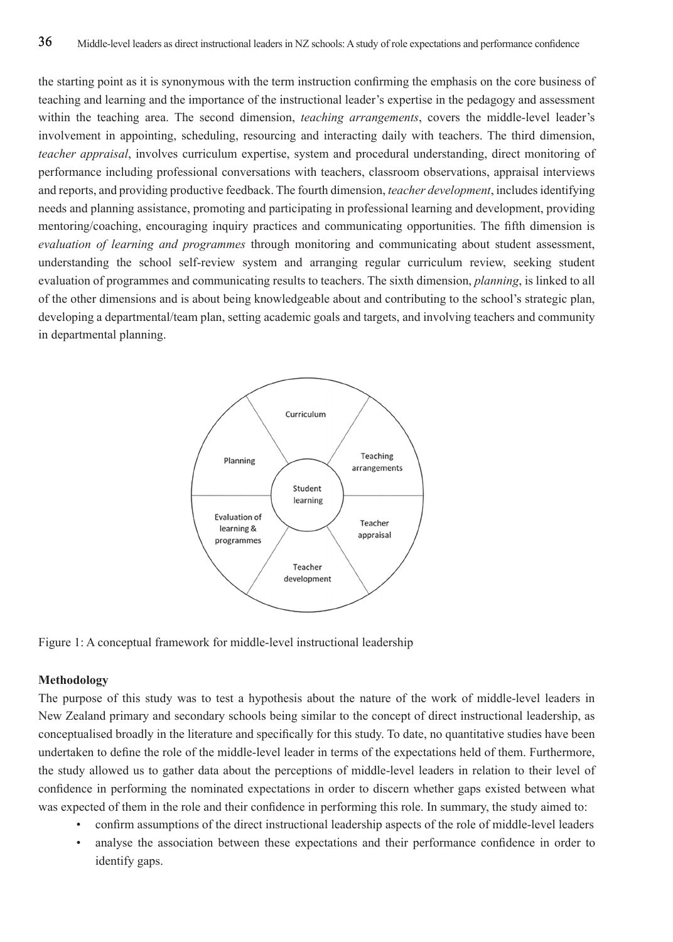the starting point as it is synonymous with the term instruction confirming the emphasis on the core business of teaching and learning and the importance of the instructional leader's expertise in the pedagogy and assessment within the teaching area. The second dimension, *teaching arrangements*, covers the middle-level leader's involvement in appointing, scheduling, resourcing and interacting daily with teachers. The third dimension, *teacher appraisal*, involves curriculum expertise, system and procedural understanding, direct monitoring of performance including professional conversations with teachers, classroom observations, appraisal interviews and reports, and providing productive feedback. The fourth dimension, *teacher development*, includes identifying needs and planning assistance, promoting and participating in professional learning and development, providing mentoring/coaching, encouraging inquiry practices and communicating opportunities. The fifth dimension is *evaluation of learning and programmes* through monitoring and communicating about student assessment, understanding the school self-review system and arranging regular curriculum review, seeking student evaluation of programmes and communicating results to teachers. The sixth dimension, *planning*, is linked to all of the other dimensions and is about being knowledgeable about and contributing to the school's strategic plan, developing a departmental/team plan, setting academic goals and targets, and involving teachers and community in departmental planning.



Figure 1: A conceptual framework for middle-level instructional leadership

## **Methodology**

The purpose of this study was to test a hypothesis about the nature of the work of middle-level leaders in New Zealand primary and secondary schools being similar to the concept of direct instructional leadership, as conceptualised broadly in the literature and specifically for this study. To date, no quantitative studies have been undertaken to define the role of the middle-level leader in terms of the expectations held of them. Furthermore, the study allowed us to gather data about the perceptions of middle-level leaders in relation to their level of confidence in performing the nominated expectations in order to discern whether gaps existed between what was expected of them in the role and their confidence in performing this role. In summary, the study aimed to:

- confirm assumptions of the direct instructional leadership aspects of the role of middle-level leaders
- analyse the association between these expectations and their performance confidence in order to identify gaps.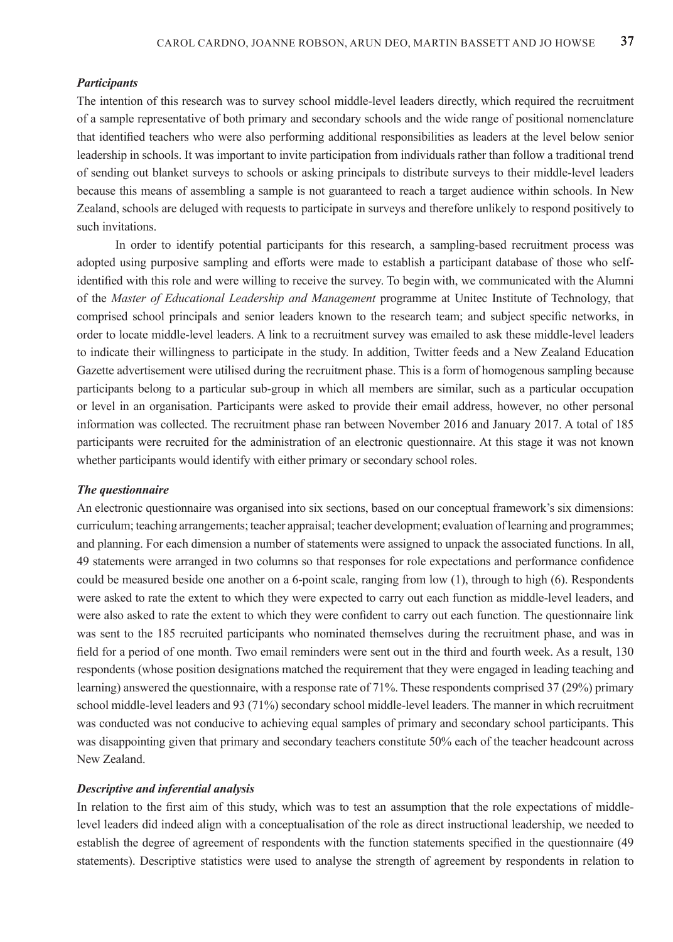## *Participants*

The intention of this research was to survey school middle-level leaders directly, which required the recruitment of a sample representative of both primary and secondary schools and the wide range of positional nomenclature that identified teachers who were also performing additional responsibilities as leaders at the level below senior leadership in schools. It was important to invite participation from individuals rather than follow a traditional trend of sending out blanket surveys to schools or asking principals to distribute surveys to their middle-level leaders because this means of assembling a sample is not guaranteed to reach a target audience within schools. In New Zealand, schools are deluged with requests to participate in surveys and therefore unlikely to respond positively to such invitations.

In order to identify potential participants for this research, a sampling-based recruitment process was adopted using purposive sampling and efforts were made to establish a participant database of those who selfidentified with this role and were willing to receive the survey. To begin with, we communicated with the Alumni of the *Master of Educational Leadership and Management* programme at Unitec Institute of Technology, that comprised school principals and senior leaders known to the research team; and subject specific networks, in order to locate middle-level leaders. A link to a recruitment survey was emailed to ask these middle-level leaders to indicate their willingness to participate in the study. In addition, Twitter feeds and a New Zealand Education Gazette advertisement were utilised during the recruitment phase. This is a form of homogenous sampling because participants belong to a particular sub-group in which all members are similar, such as a particular occupation or level in an organisation. Participants were asked to provide their email address, however, no other personal information was collected. The recruitment phase ran between November 2016 and January 2017. A total of 185 participants were recruited for the administration of an electronic questionnaire. At this stage it was not known whether participants would identify with either primary or secondary school roles.

## *The questionnaire*

An electronic questionnaire was organised into six sections, based on our conceptual framework's six dimensions: curriculum; teaching arrangements; teacher appraisal; teacher development; evaluation of learning and programmes; and planning. For each dimension a number of statements were assigned to unpack the associated functions. In all, 49 statements were arranged in two columns so that responses for role expectations and performance confidence could be measured beside one another on a 6-point scale, ranging from low (1), through to high (6). Respondents were asked to rate the extent to which they were expected to carry out each function as middle-level leaders, and were also asked to rate the extent to which they were confident to carry out each function. The questionnaire link was sent to the 185 recruited participants who nominated themselves during the recruitment phase, and was in field for a period of one month. Two email reminders were sent out in the third and fourth week. As a result, 130 respondents (whose position designations matched the requirement that they were engaged in leading teaching and learning) answered the questionnaire, with a response rate of 71%. These respondents comprised 37 (29%) primary school middle-level leaders and 93 (71%) secondary school middle-level leaders. The manner in which recruitment was conducted was not conducive to achieving equal samples of primary and secondary school participants. This was disappointing given that primary and secondary teachers constitute 50% each of the teacher headcount across New Zealand.

## *Descriptive and inferential analysis*

In relation to the first aim of this study, which was to test an assumption that the role expectations of middlelevel leaders did indeed align with a conceptualisation of the role as direct instructional leadership, we needed to establish the degree of agreement of respondents with the function statements specified in the questionnaire (49 statements). Descriptive statistics were used to analyse the strength of agreement by respondents in relation to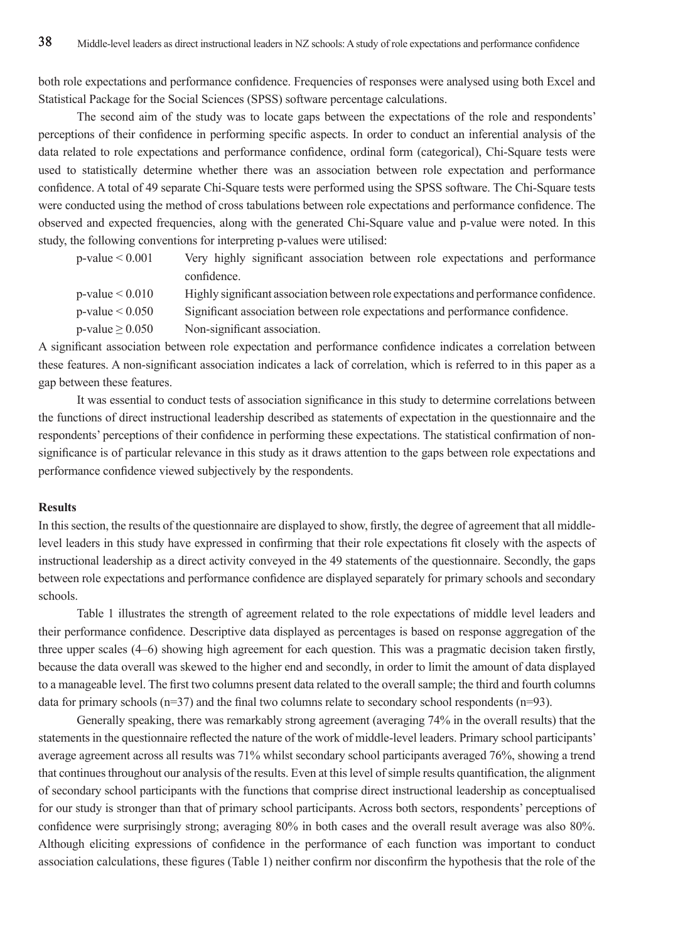both role expectations and performance confidence. Frequencies of responses were analysed using both Excel and Statistical Package for the Social Sciences (SPSS) software percentage calculations.

The second aim of the study was to locate gaps between the expectations of the role and respondents' perceptions of their confidence in performing specific aspects. In order to conduct an inferential analysis of the data related to role expectations and performance confidence, ordinal form (categorical), Chi-Square tests were used to statistically determine whether there was an association between role expectation and performance confidence. A total of 49 separate Chi-Square tests were performed using the SPSS software. The Chi-Square tests were conducted using the method of cross tabulations between role expectations and performance confidence. The observed and expected frequencies, along with the generated Chi-Square value and p-value were noted. In this study, the following conventions for interpreting p-values were utilised:

| $p$ -value $\leq 0.001$ |             |  |  | Very highly significant association between role expectations and performance |  |
|-------------------------|-------------|--|--|-------------------------------------------------------------------------------|--|
|                         | confidence. |  |  |                                                                               |  |

- p-value < 0.010 Highly significant association between role expectations and performance confidence.
- p-value < 0.050 Significant association between role expectations and performance confidence.
- $p-value \ge 0.050$  Non-significant association.

A significant association between role expectation and performance confidence indicates a correlation between these features. A non-significant association indicates a lack of correlation, which is referred to in this paper as a gap between these features.

It was essential to conduct tests of association significance in this study to determine correlations between the functions of direct instructional leadership described as statements of expectation in the questionnaire and the respondents' perceptions of their confidence in performing these expectations. The statistical confirmation of nonsignificance is of particular relevance in this study as it draws attention to the gaps between role expectations and performance confidence viewed subjectively by the respondents.

# **Results**

In this section, the results of the questionnaire are displayed to show, firstly, the degree of agreement that all middlelevel leaders in this study have expressed in confirming that their role expectations fit closely with the aspects of instructional leadership as a direct activity conveyed in the 49 statements of the questionnaire. Secondly, the gaps between role expectations and performance confidence are displayed separately for primary schools and secondary schools.

Table 1 illustrates the strength of agreement related to the role expectations of middle level leaders and their performance confidence. Descriptive data displayed as percentages is based on response aggregation of the three upper scales (4–6) showing high agreement for each question. This was a pragmatic decision taken firstly, because the data overall was skewed to the higher end and secondly, in order to limit the amount of data displayed to a manageable level. The first two columns present data related to the overall sample; the third and fourth columns data for primary schools (n=37) and the final two columns relate to secondary school respondents (n=93).

Generally speaking, there was remarkably strong agreement (averaging 74% in the overall results) that the statements in the questionnaire reflected the nature of the work of middle-level leaders. Primary school participants' average agreement across all results was 71% whilst secondary school participants averaged 76%, showing a trend that continues throughout our analysis of the results. Even at this level of simple results quantification, the alignment of secondary school participants with the functions that comprise direct instructional leadership as conceptualised for our study is stronger than that of primary school participants. Across both sectors, respondents' perceptions of confidence were surprisingly strong; averaging 80% in both cases and the overall result average was also 80%. Although eliciting expressions of confidence in the performance of each function was important to conduct association calculations, these figures (Table 1) neither confirm nor disconfirm the hypothesis that the role of the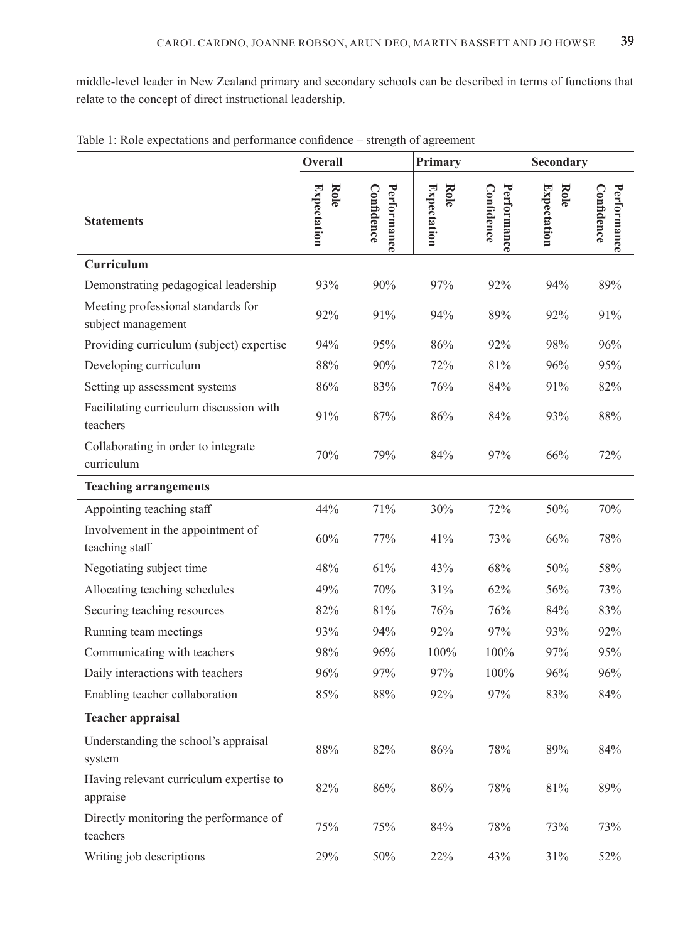middle-level leader in New Zealand primary and secondary schools can be described in terms of functions that relate to the concept of direct instructional leadership.

|                                                          | Overall             |                           | Primary                    |                           | Secondary                  |                           |
|----------------------------------------------------------|---------------------|---------------------------|----------------------------|---------------------------|----------------------------|---------------------------|
| <b>Statements</b>                                        | Expectation<br>Role | Performance<br>Confidence | Expectation<br><b>Role</b> | Confidence<br>Performance | <b>Expectation</b><br>Role | Confidence<br>Performance |
| Curriculum                                               |                     |                           |                            |                           |                            |                           |
| Demonstrating pedagogical leadership                     | 93%                 | 90%                       | 97%                        | 92%                       | 94%                        | 89%                       |
| Meeting professional standards for<br>subject management | 92%                 | 91%                       | 94%                        | 89%                       | 92%                        | 91%                       |
| Providing curriculum (subject) expertise                 | 94%                 | 95%                       | 86%                        | 92%                       | 98%                        | 96%                       |
| Developing curriculum                                    | 88%                 | 90%                       | 72%                        | 81%                       | 96%                        | 95%                       |
| Setting up assessment systems                            | 86%                 | 83%                       | 76%                        | 84%                       | 91%                        | 82%                       |
| Facilitating curriculum discussion with<br>teachers      | 91%                 | 87%                       | 86%                        | 84%                       | 93%                        | 88%                       |
| Collaborating in order to integrate<br>curriculum        | 70%                 | 79%                       | 84%                        | 97%                       | 66%                        | 72%                       |
| <b>Teaching arrangements</b>                             |                     |                           |                            |                           |                            |                           |
| Appointing teaching staff                                | 44%                 | 71%                       | 30%                        | 72%                       | 50%                        | 70%                       |
| Involvement in the appointment of<br>teaching staff      | 60%                 | 77%                       | 41%                        | 73%                       | 66%                        | 78%                       |
| Negotiating subject time                                 | 48%                 | 61%                       | 43%                        | 68%                       | 50%                        | 58%                       |
| Allocating teaching schedules                            | 49%                 | 70%                       | 31%                        | 62%                       | 56%                        | 73%                       |
| Securing teaching resources                              | 82%                 | 81%                       | 76%                        | 76%                       | 84%                        | 83%                       |
| Running team meetings                                    | 93%                 | 94%                       | 92%                        | 97%                       | 93%                        | 92%                       |
| Communicating with teachers                              | 98%                 | 96%                       | 100%                       | 100%                      | 97%                        | 95%                       |
| Daily interactions with teachers                         | 96%                 | 97%                       | 97%                        | 100%                      | 96%                        | 96%                       |
| Enabling teacher collaboration                           | 85%                 | 88%                       | 92%                        | 97%                       | 83%                        | 84%                       |
| <b>Teacher appraisal</b>                                 |                     |                           |                            |                           |                            |                           |
| Understanding the school's appraisal<br>system           | 88%                 | 82%                       | 86%                        | 78%                       | 89%                        | 84%                       |
| Having relevant curriculum expertise to<br>appraise      | 82%                 | $86\%$                    | $86\%$                     | 78%                       | $81\%$                     | 89%                       |
| Directly monitoring the performance of<br>teachers       | 75%                 | 75%                       | 84%                        | 78%                       | 73%                        | 73%                       |
| Writing job descriptions                                 | 29%                 | 50%                       | 22%                        | 43%                       | 31%                        | 52%                       |

| Table 1: Role expectations and performance confidence – strength of agreement |  |  |  |  |  |  |  |  |  |
|-------------------------------------------------------------------------------|--|--|--|--|--|--|--|--|--|
|-------------------------------------------------------------------------------|--|--|--|--|--|--|--|--|--|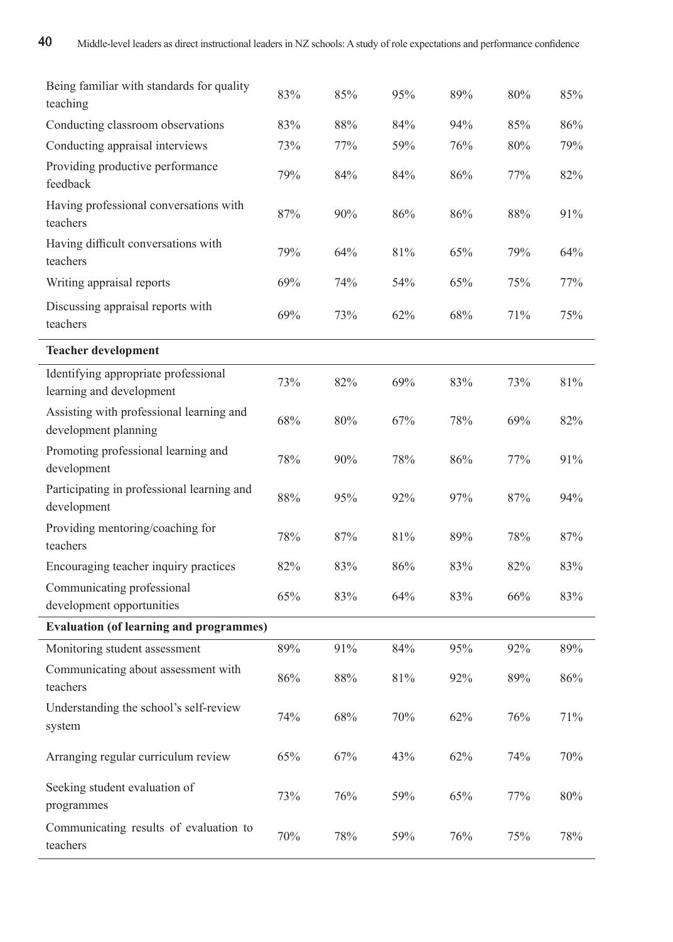| Being familiar with standards for quality<br>teaching            | 83% | 85% | 95%    | 89% | 80% | 85%    |
|------------------------------------------------------------------|-----|-----|--------|-----|-----|--------|
| Conducting classroom observations                                | 83% | 88% | 84%    | 94% | 85% | 86%    |
| Conducting appraisal interviews                                  | 73% | 77% | 59%    | 76% | 80% | 79%    |
| Providing productive performance<br>feedback                     | 79% | 84% | 84%    | 86% | 77% | 82%    |
| Having professional conversations with<br>teachers               | 87% | 90% | 86%    | 86% | 88% | 91%    |
| Having difficult conversations with<br>teachers                  | 79% | 64% | 81%    | 65% | 79% | 64%    |
| Writing appraisal reports                                        | 69% | 74% | 54%    | 65% | 75% | 77%    |
| Discussing appraisal reports with<br>teachers                    | 69% | 73% | 62%    | 68% | 71% | 75%    |
| <b>Teacher development</b>                                       |     |     |        |     |     |        |
| Identifying appropriate professional<br>learning and development | 73% | 82% | 69%    | 83% | 73% | 81%    |
| Assisting with professional learning and<br>development planning | 68% | 80% | 67%    | 78% | 69% | 82%    |
| Promoting professional learning and<br>development               | 78% | 90% | 78%    | 86% | 77% | 91%    |
| Participating in professional learning and<br>development        | 88% | 95% | 92%    | 97% | 87% | 94%    |
| Providing mentoring/coaching for<br>teachers                     | 78% | 87% | 81%    | 89% | 78% | 87%    |
| Encouraging teacher inquiry practices                            | 82% | 83% | 86%    | 83% | 82% | 83%    |
| Communicating professional<br>development opportunities          | 65% | 83% | 64%    | 83% | 66% | 83%    |
| <b>Evaluation (of learning and programmes)</b>                   |     |     |        |     |     |        |
| Monitoring student assessment                                    | 89% | 91% | 84%    | 95% | 92% | 89%    |
| Communicating about assessment with<br>teachers                  | 86% | 88% | 81%    | 92% | 89% | 86%    |
| Understanding the school's self-review<br>system                 | 74% | 68% | $70\%$ | 62% | 76% | 71%    |
| Arranging regular curriculum review                              | 65% | 67% | 43%    | 62% | 74% | 70%    |
| Seeking student evaluation of<br>programmes                      | 73% | 76% | 59%    | 65% | 77% | $80\%$ |
| Communicating results of evaluation to<br>teachers               | 70% | 78% | 59%    | 76% | 75% | 78%    |

J,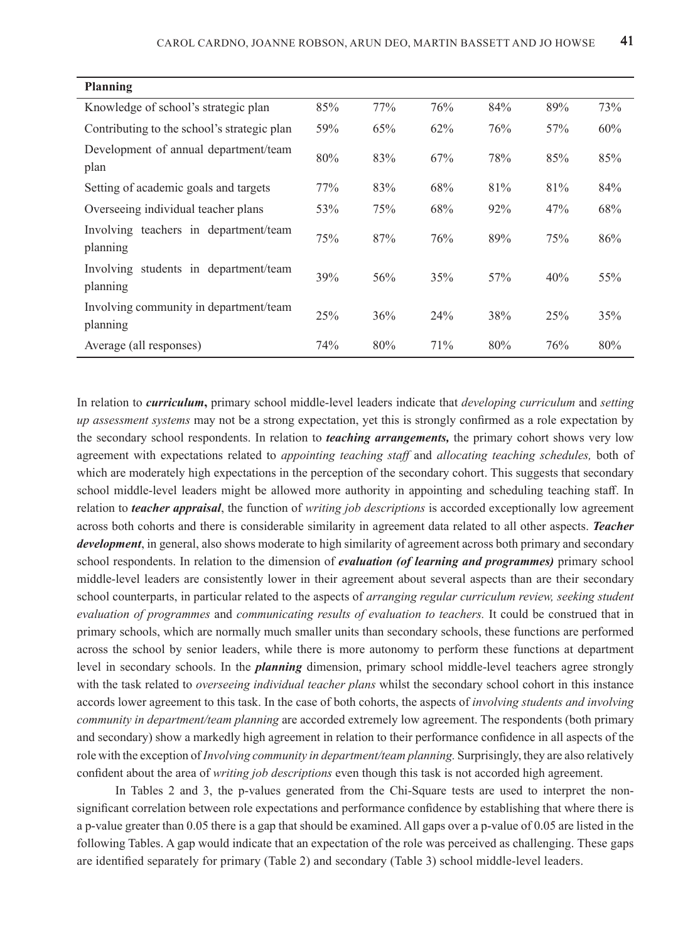| Planning                                           |     |     |     |     |     |     |
|----------------------------------------------------|-----|-----|-----|-----|-----|-----|
| Knowledge of school's strategic plan               | 85% | 77% | 76% | 84% | 89% | 73% |
| Contributing to the school's strategic plan        | 59% | 65% | 62% | 76% | 57% | 60% |
| Development of annual department/team<br>plan      | 80% | 83% | 67% | 78% | 85% | 85% |
| Setting of academic goals and targets              | 77% | 83% | 68% | 81% | 81% | 84% |
| Overseeing individual teacher plans                | 53% | 75% | 68% | 92% | 47% | 68% |
| Involving teachers in department/team<br>planning  | 75% | 87% | 76% | 89% | 75% | 86% |
| Involving students in department/team<br>planning  | 39% | 56% | 35% | 57% | 40% | 55% |
| Involving community in department/team<br>planning | 25% | 36% | 24% | 38% | 25% | 35% |
| Average (all responses)                            | 74% | 80% | 71% | 80% | 76% | 80% |

In relation to *curriculum***,** primary school middle-level leaders indicate that *developing curriculum* and *setting up assessment systems* may not be a strong expectation, yet this is strongly confirmed as a role expectation by the secondary school respondents. In relation to *teaching arrangements,* the primary cohort shows very low agreement with expectations related to *appointing teaching staff* and *allocating teaching schedules,* both of which are moderately high expectations in the perception of the secondary cohort. This suggests that secondary school middle-level leaders might be allowed more authority in appointing and scheduling teaching staff. In relation to *teacher appraisal*, the function of *writing job descriptions* is accorded exceptionally low agreement across both cohorts and there is considerable similarity in agreement data related to all other aspects. *Teacher development*, in general, also shows moderate to high similarity of agreement across both primary and secondary school respondents. In relation to the dimension of *evaluation (of learning and programmes)* primary school middle-level leaders are consistently lower in their agreement about several aspects than are their secondary school counterparts, in particular related to the aspects of *arranging regular curriculum review, seeking student evaluation of programmes* and *communicating results of evaluation to teachers.* It could be construed that in primary schools, which are normally much smaller units than secondary schools, these functions are performed across the school by senior leaders, while there is more autonomy to perform these functions at department level in secondary schools. In the *planning* dimension, primary school middle-level teachers agree strongly with the task related to *overseeing individual teacher plans* whilst the secondary school cohort in this instance accords lower agreement to this task. In the case of both cohorts, the aspects of *involving students and involving community in department/team planning* are accorded extremely low agreement. The respondents (both primary and secondary) show a markedly high agreement in relation to their performance confidence in all aspects of the role with the exception of *Involving community in department/team planning.* Surprisingly, they are also relatively confident about the area of *writing job descriptions* even though this task is not accorded high agreement.

In Tables 2 and 3, the p-values generated from the Chi-Square tests are used to interpret the nonsignificant correlation between role expectations and performance confidence by establishing that where there is a p-value greater than 0.05 there is a gap that should be examined. All gaps over a p-value of 0.05 are listed in the following Tables. A gap would indicate that an expectation of the role was perceived as challenging. These gaps are identified separately for primary (Table 2) and secondary (Table 3) school middle-level leaders.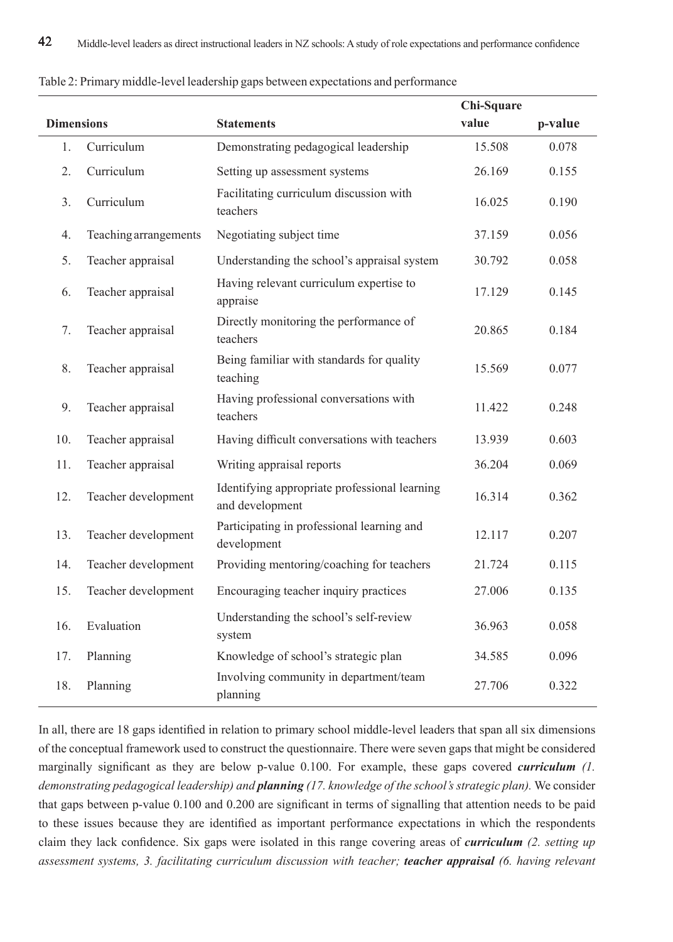|                   |                       |                                                                  | Chi-Square |         |
|-------------------|-----------------------|------------------------------------------------------------------|------------|---------|
| <b>Dimensions</b> |                       | <b>Statements</b>                                                | value      | p-value |
| 1.                | Curriculum            | Demonstrating pedagogical leadership                             | 15.508     | 0.078   |
| 2.                | Curriculum            | Setting up assessment systems                                    | 26.169     | 0.155   |
| 3.                | Curriculum            | Facilitating curriculum discussion with<br>teachers              | 16.025     | 0.190   |
| 4.                | Teaching arrangements | Negotiating subject time                                         | 37.159     | 0.056   |
| 5.                | Teacher appraisal     | Understanding the school's appraisal system                      | 30.792     | 0.058   |
| 6.                | Teacher appraisal     | Having relevant curriculum expertise to<br>appraise              | 17.129     | 0.145   |
| 7.                | Teacher appraisal     | Directly monitoring the performance of<br>teachers               | 20.865     | 0.184   |
| 8.                | Teacher appraisal     | Being familiar with standards for quality<br>teaching            | 15.569     | 0.077   |
| 9.                | Teacher appraisal     | Having professional conversations with<br>teachers               | 11.422     | 0.248   |
| 10.               | Teacher appraisal     | Having difficult conversations with teachers                     | 13.939     | 0.603   |
| 11.               | Teacher appraisal     | Writing appraisal reports                                        | 36.204     | 0.069   |
| 12.               | Teacher development   | Identifying appropriate professional learning<br>and development | 16.314     | 0.362   |
| 13.               | Teacher development   | Participating in professional learning and<br>development        | 12.117     | 0.207   |
| 14.               | Teacher development   | Providing mentoring/coaching for teachers                        | 21.724     | 0.115   |
| 15.               | Teacher development   | Encouraging teacher inquiry practices                            | 27.006     | 0.135   |
| 16.               | Evaluation            | Understanding the school's self-review<br>system                 | 36.963     | 0.058   |
| 17.               | Planning              | Knowledge of school's strategic plan                             | 34.585     | 0.096   |
| 18.               | Planning              | Involving community in department/team<br>planning               | 27.706     | 0.322   |

Table 2: Primary middle-level leadership gaps between expectations and performance

In all, there are 18 gaps identified in relation to primary school middle-level leaders that span all six dimensions of the conceptual framework used to construct the questionnaire. There were seven gaps that might be considered marginally significant as they are below p-value 0.100. For example, these gaps covered *curriculum (1. demonstrating pedagogical leadership) and planning (17. knowledge of the school's strategic plan).* We consider that gaps between p-value 0.100 and 0.200 are significant in terms of signalling that attention needs to be paid to these issues because they are identified as important performance expectations in which the respondents claim they lack confidence. Six gaps were isolated in this range covering areas of *curriculum (2. setting up assessment systems, 3. facilitating curriculum discussion with teacher; teacher appraisal (6. having relevant*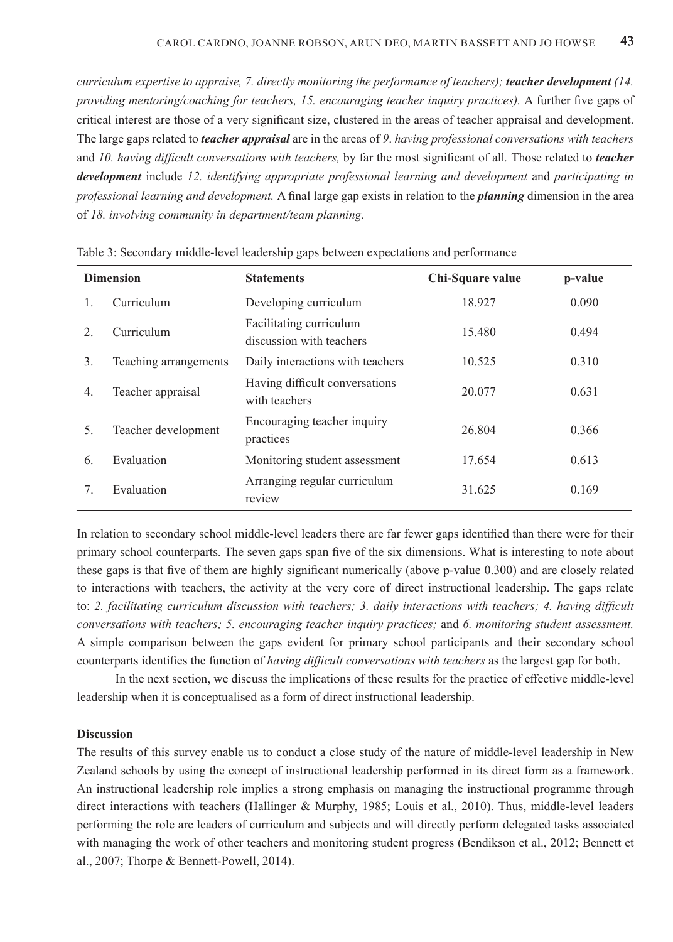*curriculum expertise to appraise, 7. directly monitoring the performance of teachers); teacher development (14. providing mentoring/coaching for teachers, 15. encouraging teacher inquiry practices).* A further five gaps of critical interest are those of a very significant size, clustered in the areas of teacher appraisal and development. The large gaps related to *teacher appraisal* are in the areas of *9*. *having professional conversations with teachers*  and *10. having difficult conversations with teachers,* by far the most significant of all*.* Those related to *teacher development* include 12. identifying appropriate professional learning and development and participating in *professional learning and development.* A final large gap exists in relation to the *planning* dimension in the area of *18. involving community in department/team planning.*

| <b>Dimension</b>       |                       | <b>Statements</b>                                   | Chi-Square value | p-value |
|------------------------|-----------------------|-----------------------------------------------------|------------------|---------|
| 1.                     | Curriculum            | Developing curriculum                               | 18.927           | 0.090   |
| $\mathfrak{D}_{\cdot}$ | Curriculum            | Facilitating curriculum<br>discussion with teachers | 15.480           | 0.494   |
| 3.                     | Teaching arrangements | Daily interactions with teachers                    | 10.525           | 0.310   |
| 4.                     | Teacher appraisal     | Having difficult conversations<br>with teachers     | 20.077           | 0.631   |
| 5.                     | Teacher development   | Encouraging teacher inquiry<br>practices            | 26.804           | 0.366   |
| 6.                     | Evaluation            | Monitoring student assessment                       | 17.654           | 0.613   |
| 7.                     | Evaluation            | Arranging regular curriculum<br>review              | 31.625           | 0.169   |

Table 3: Secondary middle-level leadership gaps between expectations and performance

In relation to secondary school middle-level leaders there are far fewer gaps identified than there were for their primary school counterparts. The seven gaps span five of the six dimensions. What is interesting to note about these gaps is that five of them are highly significant numerically (above p-value 0.300) and are closely related to interactions with teachers, the activity at the very core of direct instructional leadership. The gaps relate to: *2. facilitating curriculum discussion with teachers; 3. daily interactions with teachers; 4. having difficult conversations with teachers; 5. encouraging teacher inquiry practices;* and *6. monitoring student assessment.*  A simple comparison between the gaps evident for primary school participants and their secondary school counterparts identifies the function of *having difficult conversations with teachers* as the largest gap for both.

In the next section, we discuss the implications of these results for the practice of effective middle-level leadership when it is conceptualised as a form of direct instructional leadership.

# **Discussion**

The results of this survey enable us to conduct a close study of the nature of middle-level leadership in New Zealand schools by using the concept of instructional leadership performed in its direct form as a framework. An instructional leadership role implies a strong emphasis on managing the instructional programme through direct interactions with teachers (Hallinger & Murphy, 1985; Louis et al., 2010). Thus, middle-level leaders performing the role are leaders of curriculum and subjects and will directly perform delegated tasks associated with managing the work of other teachers and monitoring student progress (Bendikson et al., 2012; Bennett et al., 2007; Thorpe & Bennett-Powell, 2014).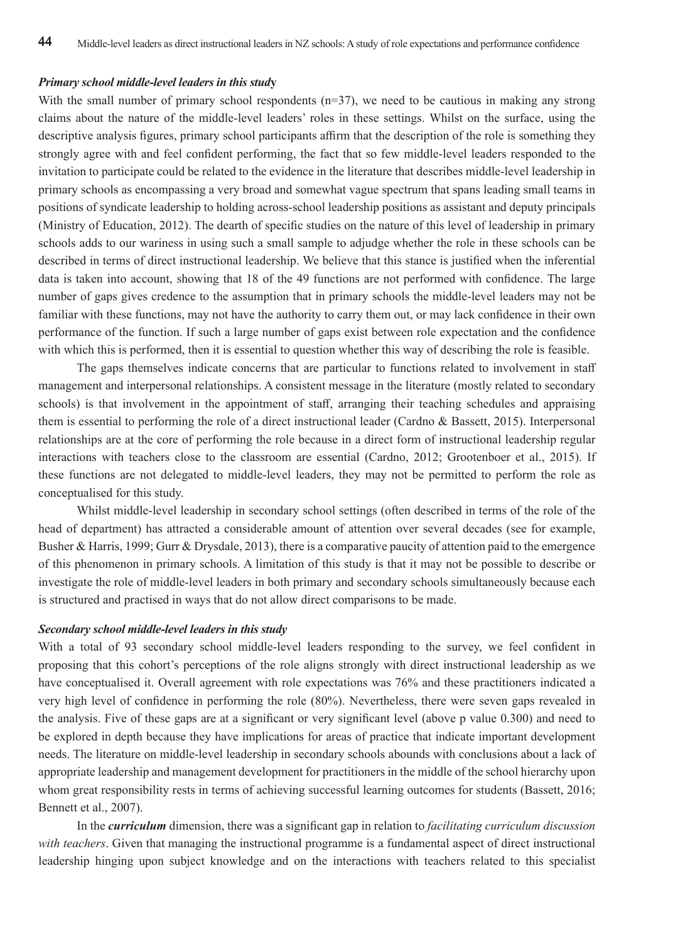#### *Primary school middle-level leaders in this stud***y**

With the small number of primary school respondents  $(n=37)$ , we need to be cautious in making any strong claims about the nature of the middle-level leaders' roles in these settings. Whilst on the surface, using the descriptive analysis figures, primary school participants affirm that the description of the role is something they strongly agree with and feel confident performing, the fact that so few middle-level leaders responded to the invitation to participate could be related to the evidence in the literature that describes middle-level leadership in primary schools as encompassing a very broad and somewhat vague spectrum that spans leading small teams in positions of syndicate leadership to holding across-school leadership positions as assistant and deputy principals (Ministry of Education, 2012). The dearth of specific studies on the nature of this level of leadership in primary schools adds to our wariness in using such a small sample to adjudge whether the role in these schools can be described in terms of direct instructional leadership. We believe that this stance is justified when the inferential data is taken into account, showing that 18 of the 49 functions are not performed with confidence. The large number of gaps gives credence to the assumption that in primary schools the middle-level leaders may not be familiar with these functions, may not have the authority to carry them out, or may lack confidence in their own performance of the function. If such a large number of gaps exist between role expectation and the confidence with which this is performed, then it is essential to question whether this way of describing the role is feasible.

The gaps themselves indicate concerns that are particular to functions related to involvement in staff management and interpersonal relationships. A consistent message in the literature (mostly related to secondary schools) is that involvement in the appointment of staff, arranging their teaching schedules and appraising them is essential to performing the role of a direct instructional leader (Cardno & Bassett, 2015). Interpersonal relationships are at the core of performing the role because in a direct form of instructional leadership regular interactions with teachers close to the classroom are essential (Cardno, 2012; Grootenboer et al., 2015). If these functions are not delegated to middle-level leaders, they may not be permitted to perform the role as conceptualised for this study.

Whilst middle-level leadership in secondary school settings (often described in terms of the role of the head of department) has attracted a considerable amount of attention over several decades (see for example, Busher & Harris, 1999; Gurr & Drysdale, 2013), there is a comparative paucity of attention paid to the emergence of this phenomenon in primary schools. A limitation of this study is that it may not be possible to describe or investigate the role of middle-level leaders in both primary and secondary schools simultaneously because each is structured and practised in ways that do not allow direct comparisons to be made.

#### *Secondary school middle-level leaders in this study*

With a total of 93 secondary school middle-level leaders responding to the survey, we feel confident in proposing that this cohort's perceptions of the role aligns strongly with direct instructional leadership as we have conceptualised it. Overall agreement with role expectations was 76% and these practitioners indicated a very high level of confidence in performing the role (80%). Nevertheless, there were seven gaps revealed in the analysis. Five of these gaps are at a significant or very significant level (above p value 0.300) and need to be explored in depth because they have implications for areas of practice that indicate important development needs. The literature on middle-level leadership in secondary schools abounds with conclusions about a lack of appropriate leadership and management development for practitioners in the middle of the school hierarchy upon whom great responsibility rests in terms of achieving successful learning outcomes for students (Bassett, 2016; Bennett et al., 2007).

In the *curriculum* dimension, there was a significant gap in relation to *facilitating curriculum discussion with teachers*. Given that managing the instructional programme is a fundamental aspect of direct instructional leadership hinging upon subject knowledge and on the interactions with teachers related to this specialist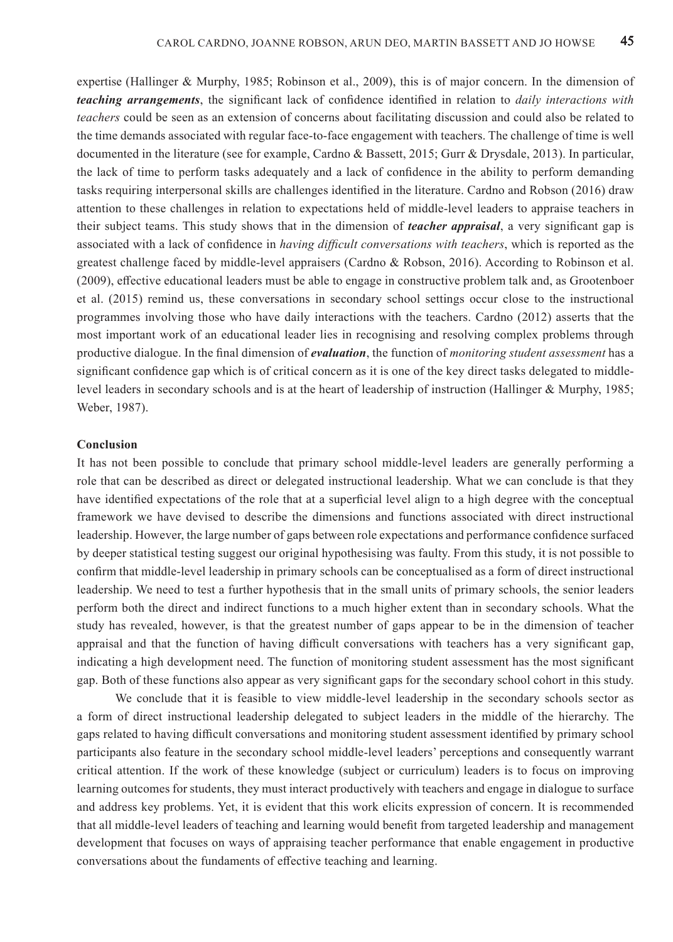expertise (Hallinger & Murphy, 1985; Robinson et al., 2009), this is of major concern. In the dimension of *teaching arrangements*, the significant lack of confidence identified in relation to *daily interactions with teachers* could be seen as an extension of concerns about facilitating discussion and could also be related to the time demands associated with regular face-to-face engagement with teachers. The challenge of time is well documented in the literature (see for example, Cardno & Bassett, 2015; Gurr & Drysdale, 2013). In particular, the lack of time to perform tasks adequately and a lack of confidence in the ability to perform demanding tasks requiring interpersonal skills are challenges identified in the literature. Cardno and Robson (2016) draw attention to these challenges in relation to expectations held of middle-level leaders to appraise teachers in their subject teams. This study shows that in the dimension of *teacher appraisal*, a very significant gap is associated with a lack of confidence in *having difficult conversations with teachers*, which is reported as the greatest challenge faced by middle-level appraisers (Cardno & Robson, 2016). According to Robinson et al. (2009), effective educational leaders must be able to engage in constructive problem talk and, as Grootenboer et al. (2015) remind us, these conversations in secondary school settings occur close to the instructional programmes involving those who have daily interactions with the teachers. Cardno (2012) asserts that the most important work of an educational leader lies in recognising and resolving complex problems through productive dialogue. In the final dimension of *evaluation*, the function of *monitoring student assessment* has a significant confidence gap which is of critical concern as it is one of the key direct tasks delegated to middlelevel leaders in secondary schools and is at the heart of leadership of instruction (Hallinger & Murphy, 1985; Weber, 1987).

# **Conclusion**

It has not been possible to conclude that primary school middle-level leaders are generally performing a role that can be described as direct or delegated instructional leadership. What we can conclude is that they have identified expectations of the role that at a superficial level align to a high degree with the conceptual framework we have devised to describe the dimensions and functions associated with direct instructional leadership. However, the large number of gaps between role expectations and performance confidence surfaced by deeper statistical testing suggest our original hypothesising was faulty. From this study, it is not possible to confirm that middle-level leadership in primary schools can be conceptualised as a form of direct instructional leadership. We need to test a further hypothesis that in the small units of primary schools, the senior leaders perform both the direct and indirect functions to a much higher extent than in secondary schools. What the study has revealed, however, is that the greatest number of gaps appear to be in the dimension of teacher appraisal and that the function of having difficult conversations with teachers has a very significant gap, indicating a high development need. The function of monitoring student assessment has the most significant gap. Both of these functions also appear as very significant gaps for the secondary school cohort in this study.

We conclude that it is feasible to view middle-level leadership in the secondary schools sector as a form of direct instructional leadership delegated to subject leaders in the middle of the hierarchy. The gaps related to having difficult conversations and monitoring student assessment identified by primary school participants also feature in the secondary school middle-level leaders' perceptions and consequently warrant critical attention. If the work of these knowledge (subject or curriculum) leaders is to focus on improving learning outcomes for students, they must interact productively with teachers and engage in dialogue to surface and address key problems. Yet, it is evident that this work elicits expression of concern. It is recommended that all middle-level leaders of teaching and learning would benefit from targeted leadership and management development that focuses on ways of appraising teacher performance that enable engagement in productive conversations about the fundaments of effective teaching and learning.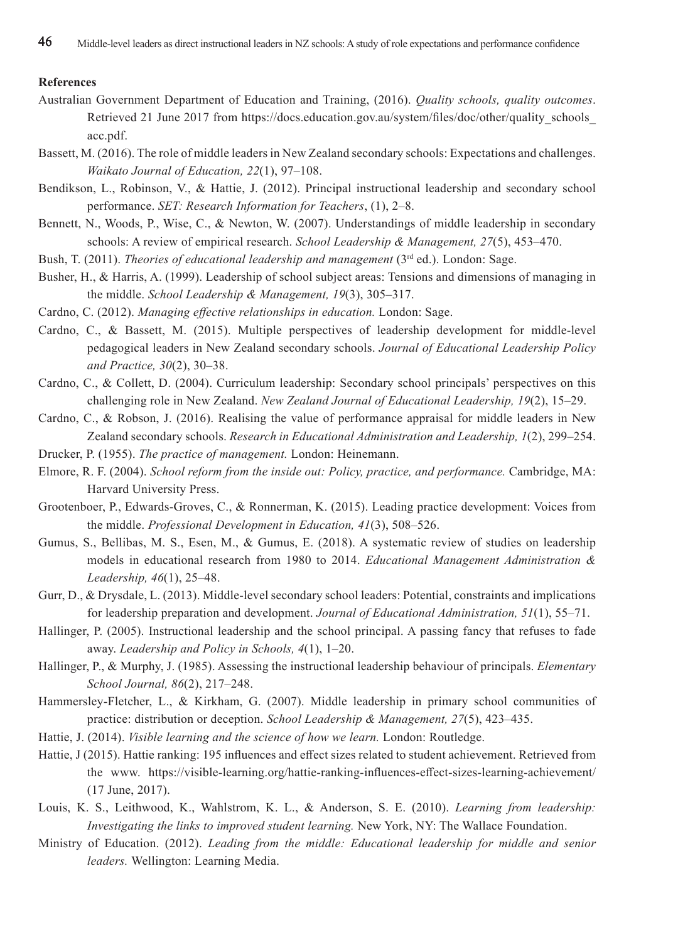# **References**

- Australian Government Department of Education and Training, (2016). *Quality schools, quality outcomes*. Retrieved 21 June 2017 from https://docs.education.gov.au/system/files/doc/other/quality\_schools acc.pdf.
- Bassett, M. (2016). The role of middle leaders in New Zealand secondary schools: Expectations and challenges. *Waikato Journal of Education, 22*(1), 97–108.
- Bendikson, L., Robinson, V., & Hattie, J. (2012). Principal instructional leadership and secondary school performance. *SET: Research Information for Teachers*, (1), 2–8.
- Bennett, N., Woods, P., Wise, C., & Newton, W. (2007). Understandings of middle leadership in secondary schools: A review of empirical research. *School Leadership & Management, 27*(5), 453–470.
- Bush, T. (2011). *Theories of educational leadership and management* (3<sup>rd</sup> ed.). London: Sage.
- Busher, H., & Harris, A. (1999). Leadership of school subject areas: Tensions and dimensions of managing in the middle. *School Leadership & Management, 19*(3), 305–317.
- Cardno, C. (2012). *Managing effective relationships in education.* London: Sage.
- Cardno, C., & Bassett, M. (2015). Multiple perspectives of leadership development for middle-level pedagogical leaders in New Zealand secondary schools. *Journal of Educational Leadership Policy and Practice, 30*(2), 30–38.
- Cardno, C., & Collett, D. (2004). Curriculum leadership: Secondary school principals' perspectives on this challenging role in New Zealand. *New Zealand Journal of Educational Leadership, 19*(2), 15–29.
- Cardno, C., & Robson, J. (2016). Realising the value of performance appraisal for middle leaders in New Zealand secondary schools. *Research in Educational Administration and Leadership, 1*(2), 299–254.
- Drucker, P. (1955). *The practice of management.* London: Heinemann.
- Elmore, R. F. (2004). *School reform from the inside out: Policy, practice, and performance.* Cambridge, MA: Harvard University Press.
- Grootenboer, P., Edwards-Groves, C., & Ronnerman, K. (2015). Leading practice development: Voices from the middle. *Professional Development in Education, 41*(3), 508–526.
- Gumus, S., Bellibas, M. S., Esen, M., & Gumus, E. (2018). A systematic review of studies on leadership models in educational research from 1980 to 2014. *Educational Management Administration & Leadership, 46*(1), 25–48.
- Gurr, D., & Drysdale, L. (2013). Middle-level secondary school leaders: Potential, constraints and implications for leadership preparation and development. *Journal of Educational Administration, 51*(1), 55–71.
- Hallinger, P. (2005). Instructional leadership and the school principal. A passing fancy that refuses to fade away. *Leadership and Policy in Schools, 4*(1), 1–20.
- Hallinger, P., & Murphy, J. (1985). Assessing the instructional leadership behaviour of principals. *Elementary School Journal, 86*(2), 217–248.
- Hammersley-Fletcher, L., & Kirkham, G. (2007). Middle leadership in primary school communities of practice: distribution or deception. *School Leadership & Management, 27*(5), 423–435.
- Hattie, J. (2014). *Visible learning and the science of how we learn.* London: Routledge.
- Hattie, J (2015). Hattie ranking: 195 influences and effect sizes related to student achievement. Retrieved from the www. https://visible-learning.org/hattie-ranking-influences-effect-sizes-learning-achievement/ (17 June, 2017).
- Louis, K. S., Leithwood, K., Wahlstrom, K. L., & Anderson, S. E. (2010). *Learning from leadership: Investigating the links to improved student learning.* New York, NY: The Wallace Foundation.
- Ministry of Education. (2012). *Leading from the middle: Educational leadership for middle and senior leaders.* Wellington: Learning Media.